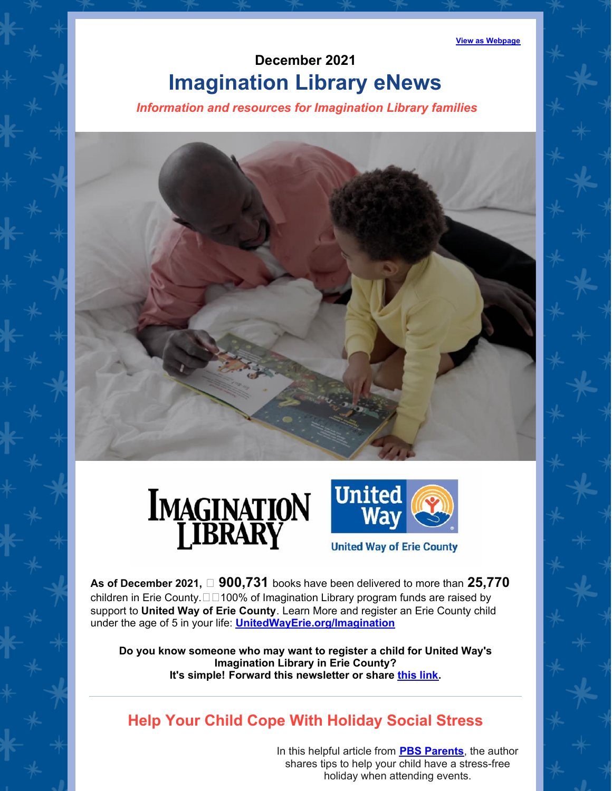**View as [Webpage](https://campaignlp.constantcontact.com/em/1101628996768/9be30063-6da4-4daa-abb7-458251b084dd)**

# **December 2021 Imagination Library eNews**

*Information and resources for Imagination Library families*







**United Way of Erie County** 

**As of December 2021, 900,731** books have been delivered to more than **25,770** children in Erie County. $\Box$ 100% of Imagination Library program funds are raised by support to **United Way of Erie [County](https://www.facebook.com/UnitedWayErie/?__xts__%5B0%5D=68.ARAZo8IrIQ0xskSjfS9dzymk9QJ3s8JcAGeAqlDQ9_6Q3I_EqS2hsZ0JICAoncLidML2dM2vmAFfSv7HkMNfO0dRe11y6sAlttB1SjUj0wrP79zZAmzyHcuM9l0DF62-DiAwUhfHY_lpEcD4e0YY2P0N2EKXyDeGbaYCD1ZREZY1BOTEA17HTVw-CTalSbW4Au-GN8XHlq7hGpSIvFDo_HBvPO-cIyCB1zd1wXzfwFex56KbUwLWzC5lQKjvx4rwo7Wib8ZJMXwm6K3efPe1Db0I4038cqiFKkfNawQ5Z7V1DSspMkClv6PACtRFROF9NZJM-cHd0NDgfCKaUiB9c2mVxg&__tn__=%2CdK%2AF-R&eid=ARBmAwA5R0vF2aQucO9q7Yd5TdqwLaGkDclfgZs8BvTHwdrYvVCRXtdHcVcIzJs90aKkJ-sL4Y7XKZBj)**. Learn More and register an Erie County child under the age of 5 in your life: **[UnitedWayErie.org/Imagination](https://www.unitedwayerie.org/Imagination)**

**Do you know someone who may want to register a child for United Way's Imagination Library in Erie County? It's simple! Forward this newsletter or share [this](http://www.unitedwayerie.org/imagination/register) link.**

## **Help Your Child Cope With Holiday Social Stress**

In this helpful article from **PBS [Parents](https://www.pbs.org/parents)**, the author shares tips to help your child have a stress-free holiday when attending events.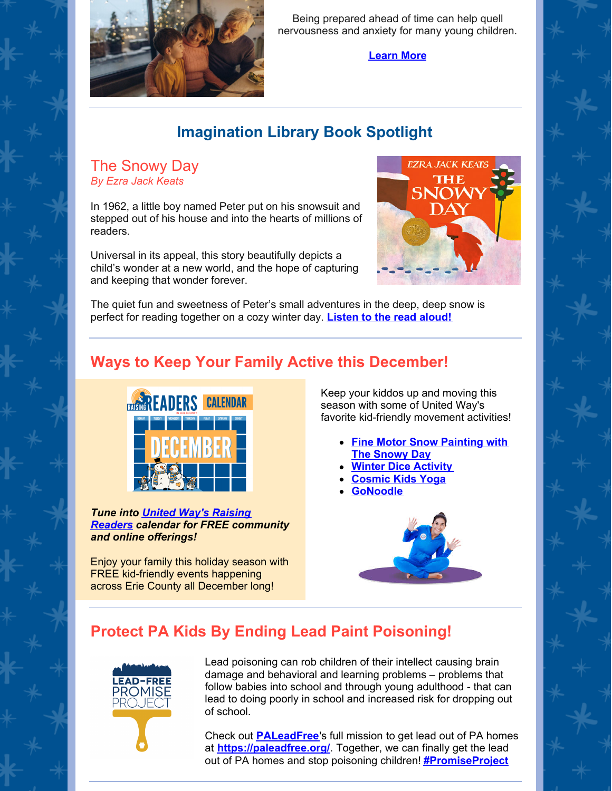

Being prepared ahead of time can help quell nervousness and anxiety for many young children.

#### **[Learn](https://www.pbs.org/parents/thrive/help-your-child-cope-with-holiday-social-stress) More**

## **Imagination Library Book Spotlight**

The Snowy Day *By Ezra Jack Keats*

In 1962, a little boy named Peter put on his snowsuit and stepped out of his house and into the hearts of millions of readers.

Universal in its appeal, this story beautifully depicts a child's wonder at a new world, and the hope of capturing and keeping that wonder forever.



The quiet fun and sweetness of Peter's small adventures in the deep, deep snow is perfect for reading together on a cozy winter day. **[Listen](https://www.youtube.com/watch?v=QYWodTneq-Q) to the read aloud!**

## **Ways to Keep Your Family Active this December!**



*Tune into United Way's Raising Readers [calendar](https://calendar.google.com/calendar/u/1/r/month/2021/12/1?cid=MTVtbzdqY241NzE4cWpoazd1aWZycGQxa29AZ3JvdXAuY2FsZW5kYXIuZ29vZ2xlLmNvbQ) for FREE community and online offerings!*

Enjoy your family this holiday season with FREE kid-friendly events happening across Erie County all December long!

Keep your kiddos up and moving this season with some of United Way's favorite kid-friendly movement activities!

- **Fine Motor Snow [Painting](https://fromabcstoacts.com/fine-motor-snow-painting-with-the-snowy-day/) with The Snowy Day**
- **Winter Dice [Activity](https://www.naturalbeachliving.com/winter-movement-activities-free-printable/)**
- **[Cosmic](https://www.youtube.com/c/CosmicKidsYoga) Kids Yoga**
- **[GoNoodle](https://www.youtube.com/c/GoNoodle/featured)**



## **Protect PA Kids By Ending Lead Paint Poisoning!**



Lead poisoning can rob children of their intellect causing brain damage and behavioral and learning problems – problems that follow babies into school and through young adulthood - that can lead to doing poorly in school and increased risk for dropping out of school.

Check out **[PALeadFree](https://www.facebook.com/PALeadFree)**'s full mission to get lead out of PA homes at **<https://paleadfree.org/>**. Together, we can finally get the lead out of PA homes and stop poisoning children! **[#PromiseProject](https://www.facebook.com/hashtag/promiseproject)**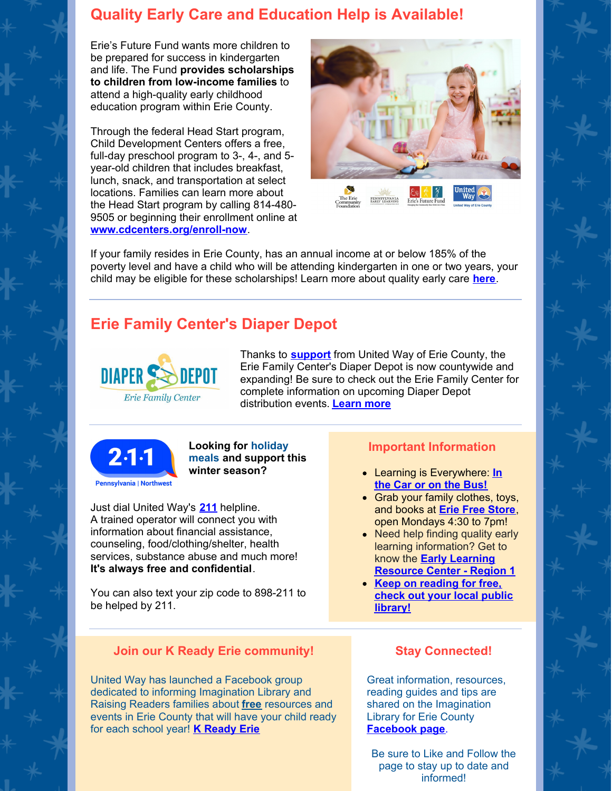### **Quality Early Care and Education Help is Available!**

Erie's Future Fund wants more children to be prepared for success in kindergarten and life. The Fund **provides scholarships to children from low-income families** to attend a high-quality early childhood education program within Erie County.

Through the federal Head Start program, Child Development Centers offers a free, full-day preschool program to 3-, 4-, and 5 year-old children that includes breakfast, lunch, snack, and transportation at select locations. Families can learn more about the Head Start program by calling 814-480- 9505 or beginning their enrollment online at **[www.cdcenters.org/enroll-now](https://linkprotect.cudasvc.com/url?a=http%3a%2f%2fwww.cdcenters.org%2fenroll-now&c=E,1,MxtWmGsCpFggKrMshqzqzPorOVHXrTJTWe37yU-sn7w0BqkPgMRG1qxn6UEoPKGwX2L0HGtWoQsZd12Tw6RxQe925fh8kVtNZ8n6FwOBBl8,&typo=1)**.



If your family resides in Erie County, has an annual income at or below 185% of the poverty level and have a child who will be attending kindergarten in one or two years, your child may be eligible for these scholarships! Learn more about quality early care **[here](https://files.constantcontact.com/0ac743e7001/98b9e58c-1283-4f48-88fa-ee398b79c64f.pdf?rdr=true)**.

## **Erie Family Center's Diaper Depot**



Thanks to **[support](https://www.unitedwayerie.org/the-latest/blog/united-way-announces-grant-funding-to-erie-family-centers-diaper-depot)** from United Way of Erie County, the Erie Family Center's Diaper Depot is now countywide and expanding! Be sure to check out the Erie Family Center for complete information on upcoming Diaper Depot distribution events. **[Learn](https://www.facebook.com/pg/eriefamilycenter.org/events/?ref=page_internal) more**



**Looking for holiday meals and support this winter season?**

Just dial United Way's **[211](http://www.pa211nw.org/)** helpline. A trained operator will connect you with information about financial assistance, counseling, food/clothing/shelter, health services, substance abuse and much more! **It's always free and confidential**.

You can also text your zip code to 898-211 to be helped by 211.

### **Join our K Ready Erie community!**

United Way has launched a Facebook group dedicated to informing Imagination Library and Raising Readers families about **free** resources and events in Erie County that will have your child ready for each school year! **K [Ready](https://www.facebook.com/groups/520434142649807) Erie**

#### **Important Information**

- Learning is [Everywhere:](https://papromiseforchildren.com/learning-is-everywhere/learning-is-everywhere-december/#:~:text=Learning is Everywhere%3A December We%E2%80%99re in the Car,aligned with the Pennsylvania Early Learning Standards %28ELS%29.) **In the Car or on the Bus!**
- Grab your family clothes, toys, and books at **Erie Free [Store](https://www.eriefreestore.com/)**, open Mondays 4:30 to 7pm!
- Need help finding quality early learning information? Get to know the **Early Learning [Resource](http://www.nwirelrc.org/?fbclid=IwAR3L_LvX4jbLS79g9LvIDXibCiPoDeeHvL9-rIqeliJTiLm3AsoPLWCT8tM) Center - Region 1**
- **Keep on [reading](http://www.erielibrary.org/) for free, check out your local public library!**

### **Stay Connected!**

Great information, resources, reading guides and tips are shared on the Imagination Library for Erie County **[Facebook](https://www.facebook.com/ErieImaginationLibrary/) page**.

Be sure to Like and Follow the page to stay up to date and informed!